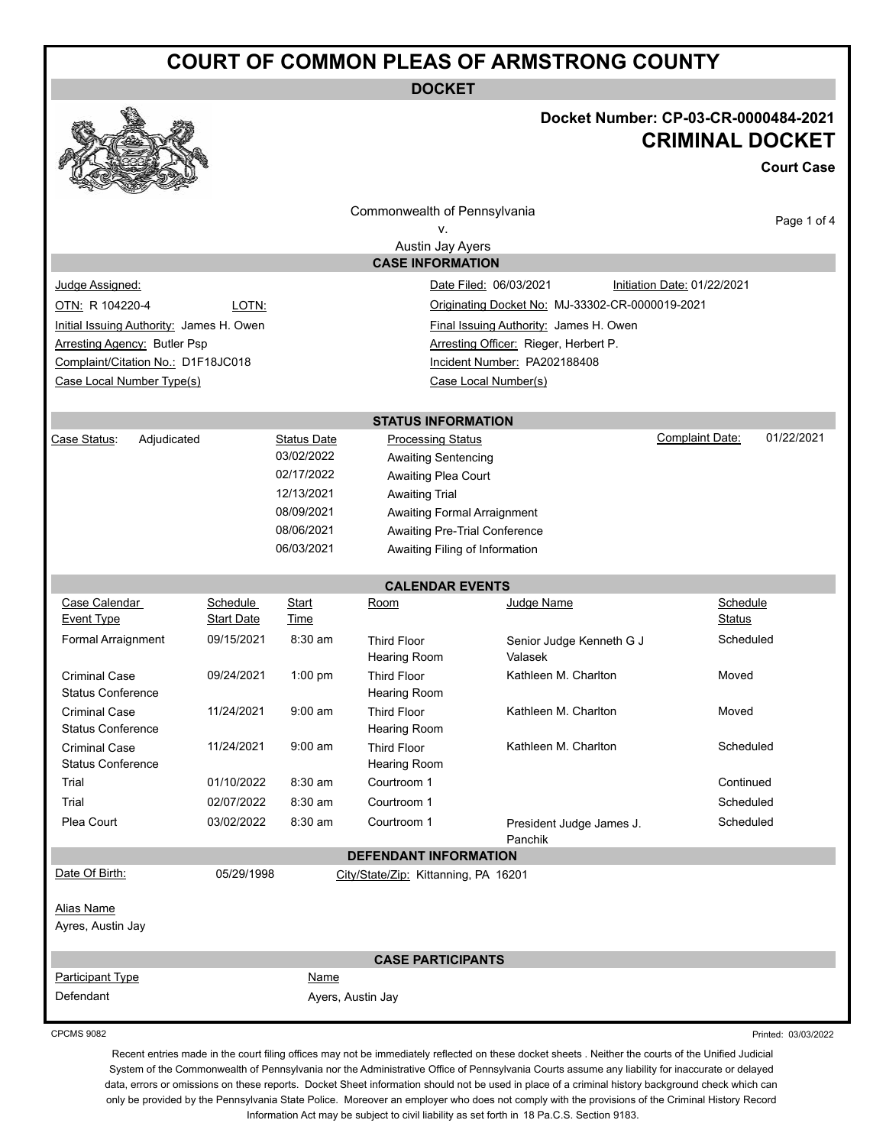# **COURT OF COMMON PLEAS OF ARMSTRONG COUNTY**

**DOCKET**



## **Docket Number: CP-03-CR-0000484-2021 CRIMINAL DOCKET**

**Court Case**

|                                                                                    |                        |                    | Commonwealth of Pennsylvania              |                                                 |  |                             | Page 1 of 4 |  |  |
|------------------------------------------------------------------------------------|------------------------|--------------------|-------------------------------------------|-------------------------------------------------|--|-----------------------------|-------------|--|--|
|                                                                                    |                        |                    | ν.                                        |                                                 |  |                             |             |  |  |
|                                                                                    |                        |                    | Austin Jay Ayers                          |                                                 |  |                             |             |  |  |
|                                                                                    |                        |                    | <b>CASE INFORMATION</b>                   |                                                 |  |                             |             |  |  |
| Judge Assigned:                                                                    | Date Filed: 06/03/2021 |                    |                                           |                                                 |  | Initiation Date: 01/22/2021 |             |  |  |
| OTN: R 104220-4                                                                    | LOTN:                  |                    |                                           | Originating Docket No: MJ-33302-CR-0000019-2021 |  |                             |             |  |  |
| Initial Issuing Authority: James H. Owen<br>Final Issuing Authority: James H. Owen |                        |                    |                                           |                                                 |  |                             |             |  |  |
| <b>Arresting Agency: Butler Psp</b>                                                |                        |                    |                                           | Arresting Officer: Rieger, Herbert P.           |  |                             |             |  |  |
| Complaint/Citation No.: D1F18JC018                                                 |                        |                    |                                           | Incident Number: PA202188408                    |  |                             |             |  |  |
| Case Local Number Type(s)                                                          |                        |                    |                                           | Case Local Number(s)                            |  |                             |             |  |  |
|                                                                                    |                        |                    | <b>STATUS INFORMATION</b>                 |                                                 |  |                             |             |  |  |
| Case Status:<br>Adjudicated                                                        |                        | <b>Status Date</b> | <b>Processing Status</b>                  |                                                 |  | Complaint Date:             | 01/22/2021  |  |  |
|                                                                                    |                        | 03/02/2022         | <b>Awaiting Sentencing</b>                |                                                 |  |                             |             |  |  |
|                                                                                    |                        | 02/17/2022         | Awaiting Plea Court                       |                                                 |  |                             |             |  |  |
|                                                                                    |                        | 12/13/2021         | <b>Awaiting Trial</b>                     |                                                 |  |                             |             |  |  |
|                                                                                    |                        | 08/09/2021         | Awaiting Formal Arraignment               |                                                 |  |                             |             |  |  |
| 08/06/2021                                                                         |                        |                    | Awaiting Pre-Trial Conference             |                                                 |  |                             |             |  |  |
|                                                                                    |                        | 06/03/2021         | Awaiting Filing of Information            |                                                 |  |                             |             |  |  |
|                                                                                    |                        |                    | <b>CALENDAR EVENTS</b>                    |                                                 |  |                             |             |  |  |
| Case Calendar                                                                      | Schedule               | Start              | <u>Room</u>                               | Judge Name                                      |  | Schedule                    |             |  |  |
| <b>Event Type</b>                                                                  | <b>Start Date</b>      | Time               |                                           |                                                 |  | Status                      |             |  |  |
| Formal Arraignment                                                                 | 09/15/2021             | 8:30 am            | <b>Third Floor</b><br><b>Hearing Room</b> | Senior Judge Kenneth G J<br>Valasek             |  | Scheduled                   |             |  |  |
| <b>Criminal Case</b><br><b>Status Conference</b>                                   | 09/24/2021             | 1:00 pm            | <b>Third Floor</b><br><b>Hearing Room</b> | Kathleen M. Charlton                            |  | Moved                       |             |  |  |
| <b>Criminal Case</b><br><b>Status Conference</b>                                   | 11/24/2021             | $9:00$ am          | <b>Third Floor</b><br>Hearing Room        | Kathleen M. Charlton                            |  | Moved                       |             |  |  |
| <b>Criminal Case</b><br><b>Status Conference</b>                                   | 11/24/2021             | $9:00$ am          | <b>Third Floor</b><br><b>Hearing Room</b> | Kathleen M. Charlton                            |  | Scheduled                   |             |  |  |
| Trial<br>01/10/2022                                                                |                        | 8:30 am            | Courtroom 1                               |                                                 |  | Continued                   |             |  |  |
| Trial                                                                              | 02/07/2022<br>8:30 am  |                    | Courtroom 1                               |                                                 |  | Scheduled                   |             |  |  |
| Plea Court                                                                         | 03/02/2022             | 8:30 am            | Courtroom 1                               | President Judge James J.<br>Panchik             |  | Scheduled                   |             |  |  |
|                                                                                    |                        |                    | <b>DEFENDANT INFORMATION</b>              |                                                 |  |                             |             |  |  |
| Date Of Birth:                                                                     | 05/29/1998             |                    | City/State/Zip: Kittanning, PA 16201      |                                                 |  |                             |             |  |  |
| <b>Alias Name</b><br>Ayres, Austin Jay                                             |                        |                    |                                           |                                                 |  |                             |             |  |  |
|                                                                                    |                        |                    | <b>CASE PARTICIPANTS</b>                  |                                                 |  |                             |             |  |  |
| Participant Type                                                                   |                        | Name               |                                           |                                                 |  |                             |             |  |  |
| Defendant                                                                          |                        |                    | Ayers, Austin Jay                         |                                                 |  |                             |             |  |  |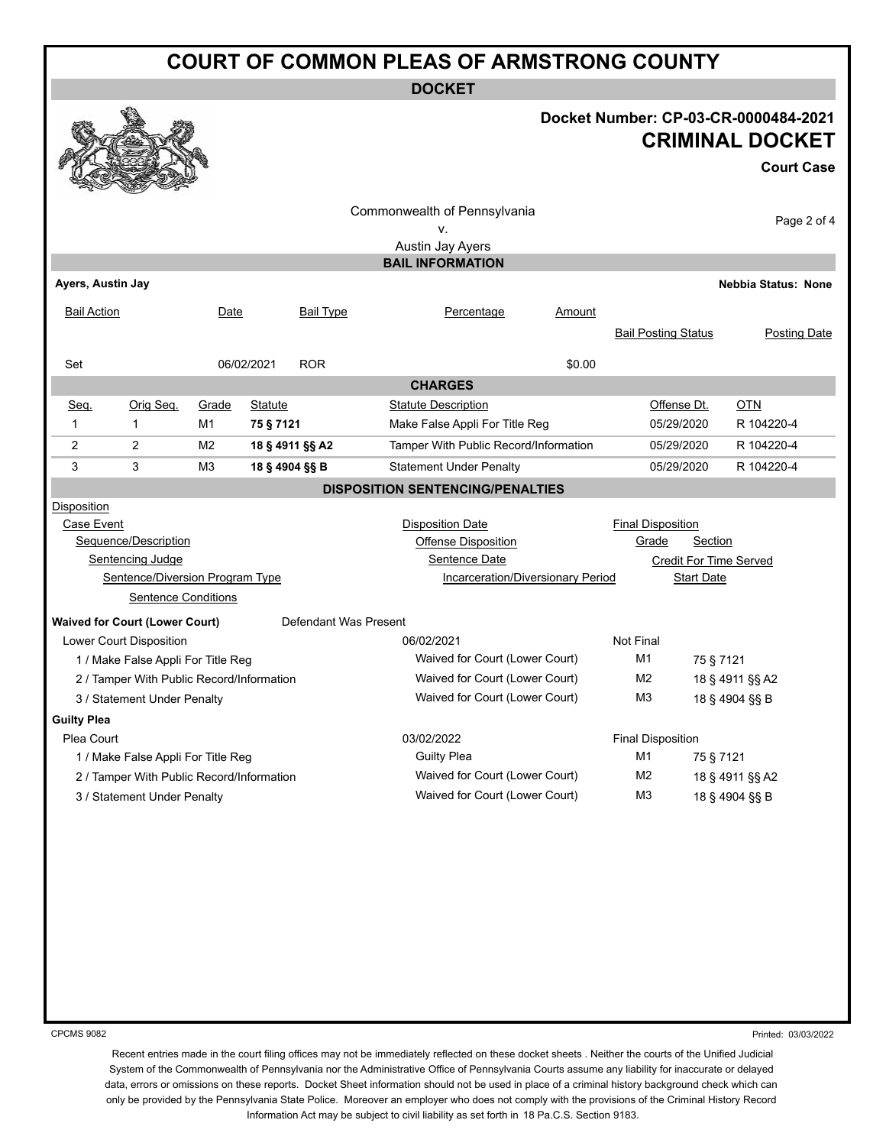# **COURT OF COMMON PLEAS OF ARMSTRONG COUNTY**

**DOCKET**

### **Docket Number: CP-03-CR-0000484-2021 CRIMINAL DOCKET**

#### **Court Case**

|                                                                |                            |                |                 |                                                | Commonwealth of Pennsylvania<br>v.<br>Austin Jay Ayers |                                   |                            |                   | Page 2 of 4                |
|----------------------------------------------------------------|----------------------------|----------------|-----------------|------------------------------------------------|--------------------------------------------------------|-----------------------------------|----------------------------|-------------------|----------------------------|
|                                                                |                            |                |                 |                                                | <b>BAIL INFORMATION</b>                                |                                   |                            |                   |                            |
| Ayers, Austin Jay                                              |                            |                |                 |                                                |                                                        |                                   |                            |                   | <b>Nebbia Status: None</b> |
| <b>Bail Action</b>                                             |                            | Date           |                 | <b>Bail Type</b>                               | Percentage                                             | Amount                            | <b>Bail Posting Status</b> |                   | Posting Date               |
| Set                                                            |                            |                | 06/02/2021      | <b>ROR</b>                                     |                                                        | \$0.00                            |                            |                   |                            |
| <b>CHARGES</b>                                                 |                            |                |                 |                                                |                                                        |                                   |                            |                   |                            |
| Seq.                                                           | Orig Seq.                  | Grade          | Statute         |                                                | <b>Statute Description</b>                             |                                   |                            | Offense Dt.       | <b>OTN</b>                 |
| $\mathbf{1}$                                                   | $\mathbf{1}$               | M1             | 75 § 7121       |                                                | Make False Appli For Title Reg                         |                                   |                            | 05/29/2020        | R 104220-4                 |
| 2                                                              | $\overline{2}$             | M <sub>2</sub> | 18 § 4911 §§ A2 |                                                | Tamper With Public Record/Information                  |                                   |                            | 05/29/2020        | R 104220-4                 |
| 3                                                              | 3                          | M3             | 18 § 4904 §§ B  |                                                | <b>Statement Under Penalty</b>                         |                                   |                            | 05/29/2020        | R 104220-4                 |
| <b>DISPOSITION SENTENCING/PENALTIES</b>                        |                            |                |                 |                                                |                                                        |                                   |                            |                   |                            |
| Disposition                                                    |                            |                |                 |                                                |                                                        |                                   |                            |                   |                            |
| Case Event                                                     |                            |                |                 |                                                | <b>Disposition Date</b>                                |                                   | <b>Final Disposition</b>   |                   |                            |
|                                                                | Sequence/Description       |                |                 |                                                | <b>Offense Disposition</b>                             |                                   | Grade                      | Section           |                            |
| Sentencing Judge                                               |                            |                |                 | Sentence Date<br><b>Credit For Time Served</b> |                                                        |                                   |                            |                   |                            |
| Sentence/Diversion Program Type                                |                            |                |                 |                                                | <b>Incarceration/Diversionary Period</b>               |                                   |                            | <b>Start Date</b> |                            |
|                                                                | <b>Sentence Conditions</b> |                |                 |                                                |                                                        |                                   |                            |                   |                            |
| Defendant Was Present<br><b>Waived for Court (Lower Court)</b> |                            |                |                 |                                                |                                                        |                                   |                            |                   |                            |
| Lower Court Disposition                                        |                            |                |                 | 06/02/2021                                     |                                                        | <b>Not Final</b>                  |                            |                   |                            |
| 1 / Make False Appli For Title Reg                             |                            |                |                 | Waived for Court (Lower Court)                 |                                                        | M1                                | 75 § 7121                  |                   |                            |
| 2 / Tamper With Public Record/Information                      |                            |                |                 | Waived for Court (Lower Court)                 |                                                        | M <sub>2</sub>                    |                            | 18 § 4911 §§ A2   |                            |
| 3 / Statement Under Penalty                                    |                            |                |                 | Waived for Court (Lower Court)                 |                                                        | M <sub>3</sub>                    |                            | 18 § 4904 §§ B    |                            |
| <b>Guilty Plea</b>                                             |                            |                |                 |                                                |                                                        |                                   |                            |                   |                            |
| Plea Court                                                     |                            |                |                 | 03/02/2022                                     |                                                        | <b>Final Disposition</b>          |                            |                   |                            |
| 1 / Make False Appli For Title Reg                             |                            |                |                 | <b>Guilty Plea</b>                             |                                                        | M1<br>75 § 7121                   |                            |                   |                            |
| 2 / Tamper With Public Record/Information                      |                            |                |                 | Waived for Court (Lower Court)                 |                                                        | M <sub>2</sub><br>18 § 4911 §§ A2 |                            |                   |                            |
| 3 / Statement Under Penalty                                    |                            |                |                 | Waived for Court (Lower Court)                 |                                                        | M <sub>3</sub><br>18 § 4904 §§ B  |                            |                   |                            |
|                                                                |                            |                |                 |                                                |                                                        |                                   |                            |                   |                            |

CPCMS 9082

Printed: 03/03/2022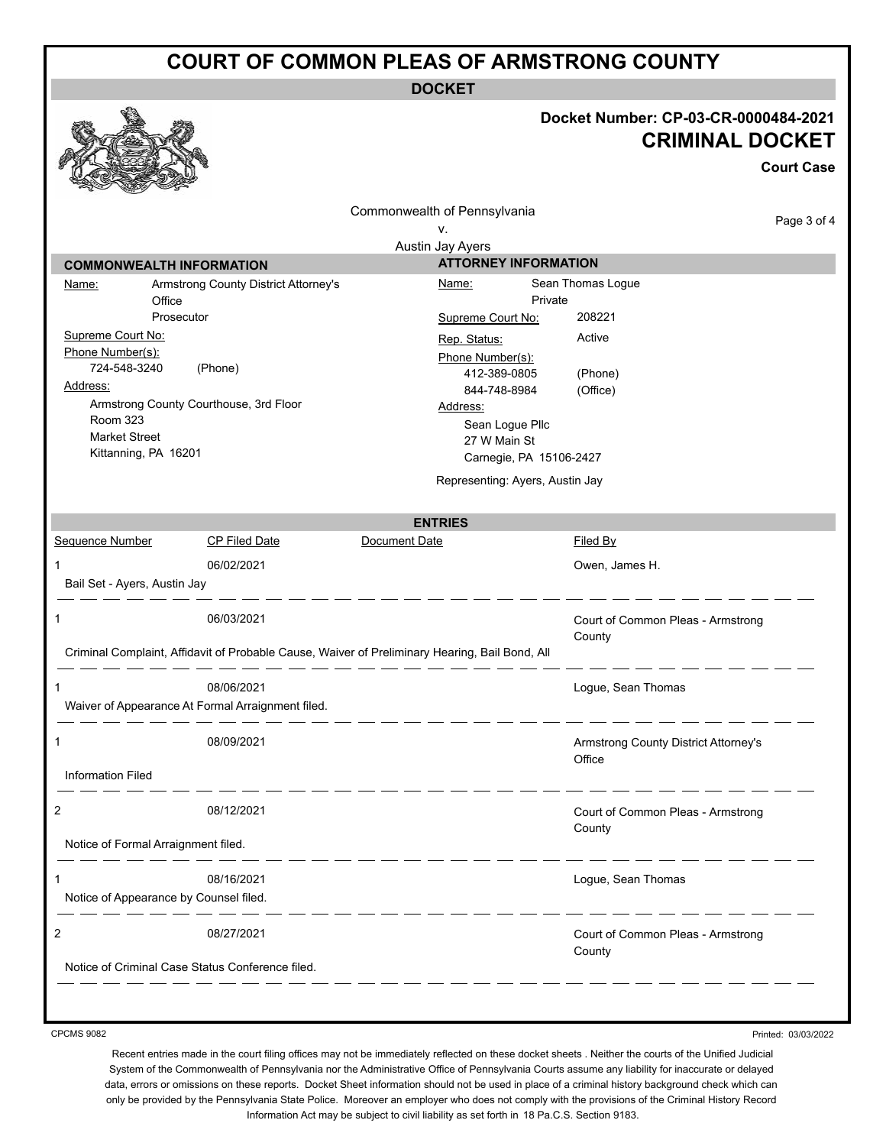### **COURT OF COMMON PLEAS OF ARMSTRONG COUNTY**

**DOCKET**

### **Docket Number: CP-03-CR-0000484-2021 CRIMINAL DOCKET**

**Court Case** Commonwealth of Pennsylvania Page 3 of 4 v. Austin Jay Ayers **COMMONWEALTH INFORMATION ATTORNEY INFORMATION** Name: Armstrong County District Attorney's Name: Sean Thomas Logue **Office** Private Prosecutor Supreme Court No: 208221 Supreme Court No: Rep. Status: Active Phone Number(s): Phone Number(s): 724-548-3240 (Phone) 412-389-0805 (Phone) Address: 844-748-8984 (Office) Armstrong County Courthouse, 3rd Floor Address: Room 323 Sean Logue Pllc Market Street 27 W Main St Kittanning, PA 16201 Carnegie, PA 15106-2427 Representing: Ayers, Austin Jay **ENTRIES** Sequence Number CP Filed Date Document Date Date Filed By 1 06/02/2021 Owen, James H. Bail Set - Ayers, Austin Jay 1 06/03/2021 Court of Common Pleas - Armstrong **County** Criminal Complaint, Affidavit of Probable Cause, Waiver of Preliminary Hearing, Bail Bond, All \_\_\_\_\_\_\_\_\_\_\_\_\_ 1 08/06/2021 Logue, Sean Thomas Waiver of Appearance At Formal Arraignment filed. \_ \_ \_ \_ \_ \_ \_ \_ \_ \_ \_ 1 08/09/2021 Armstrong County District Attorney's **Office** Information Filed \_\_\_\_\_\_ 2 08/12/2021 Court of Common Pleas - Armstrong **County** Notice of Formal Arraignment filed. -----------1 08/16/2021 Logue, Sean Thomas Notice of Appearance by Counsel filed.  $\frac{1}{2} \left( \frac{1}{2} \right) \left( \frac{1}{2} \right) \left( \frac{1}{2} \right) \left( \frac{1}{2} \right) \left( \frac{1}{2} \right) \left( \frac{1}{2} \right) \left( \frac{1}{2} \right) \left( \frac{1}{2} \right) \left( \frac{1}{2} \right) \left( \frac{1}{2} \right) \left( \frac{1}{2} \right) \left( \frac{1}{2} \right) \left( \frac{1}{2} \right) \left( \frac{1}{2} \right) \left( \frac{1}{2} \right) \left( \frac{1}{2} \right) \left( \frac$ 2 08/27/2021 Court of Common Pleas - Armstrong **County** Notice of Criminal Case Status Conference filed.

CPCMS 9082

Printed: 03/03/2022